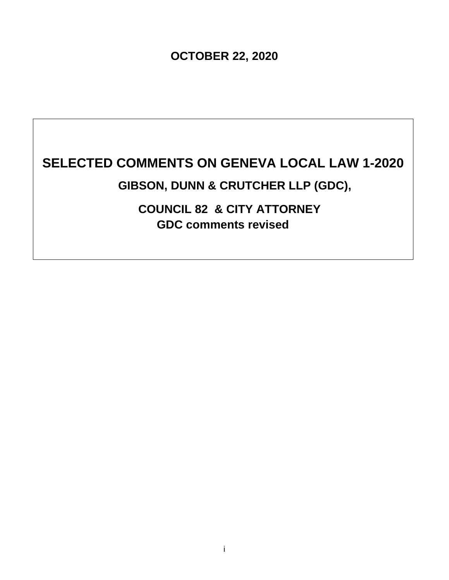**OCTOBER 22, 2020** 

# **SELECTED COMMENTS ON GENEVA LOCAL LAW 1-2020**

## **GIBSON, DUNN & CRUTCHER LLP (GDC),**

**COUNCIL 82 & CITY ATTORNEY GDC comments revised**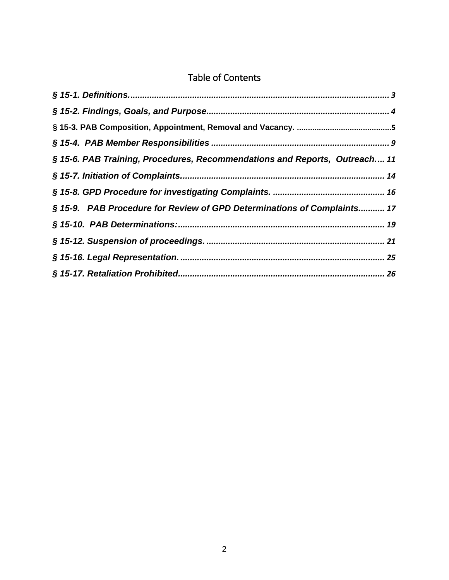## Table of Contents

| § 15-6. PAB Training, Procedures, Recommendations and Reports, Outreach 11 |  |
|----------------------------------------------------------------------------|--|
|                                                                            |  |
|                                                                            |  |
| § 15-9. PAB Procedure for Review of GPD Determinations of Complaints 17    |  |
|                                                                            |  |
|                                                                            |  |
|                                                                            |  |
|                                                                            |  |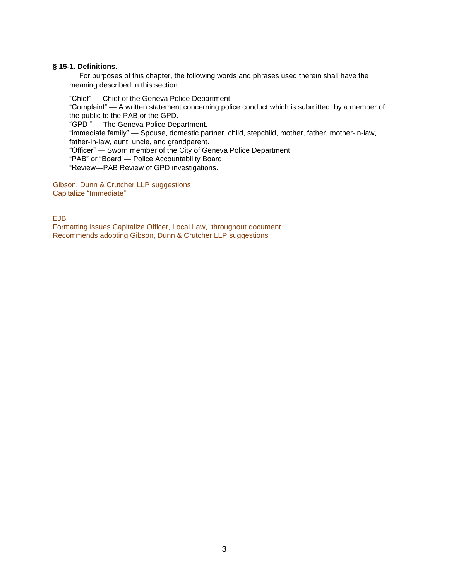#### <span id="page-2-0"></span>**§ 15-1. Definitions.**

For purposes of this chapter, the following words and phrases used therein shall have the meaning described in this section:

"Chief" — Chief of the Geneva Police Department.

"Complaint" — A written statement concerning police conduct which is submitted by a member of the public to the PAB or the GPD.

"GPD " -- The Geneva Police Department.

"immediate family" — Spouse, domestic partner, child, stepchild, mother, father, mother-in-law, father-in-law, aunt, uncle, and grandparent.

"Officer" — Sworn member of the City of Geneva Police Department.

"PAB" or "Board"— Police Accountability Board.

"Review—PAB Review of GPD investigations.

Gibson, Dunn & Crutcher LLP suggestions Capitalize "Immediate"

EJB

Formatting issues Capitalize Officer, Local Law, throughout document Recommends adopting Gibson, Dunn & Crutcher LLP suggestions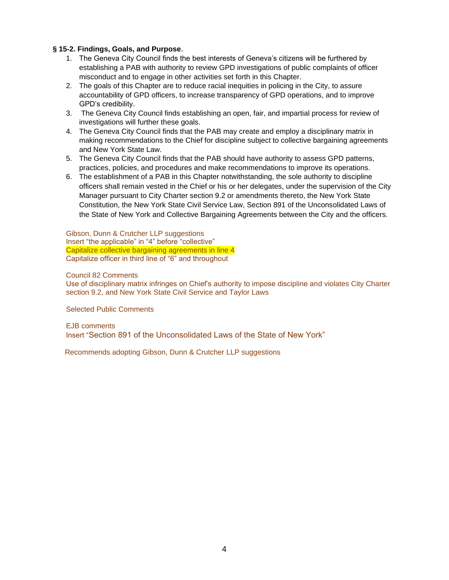#### <span id="page-3-0"></span>**§ 15-2. Findings, Goals, and Purpose.**

- 1. The Geneva City Council finds the best interests of Geneva's citizens will be furthered by establishing a PAB with authority to review GPD investigations of public complaints of officer misconduct and to engage in other activities set forth in this Chapter.
- 2. The goals of this Chapter are to reduce racial inequities in policing in the City, to assure accountability of GPD officers, to increase transparency of GPD operations, and to improve GPD's credibility.
- 3. The Geneva City Council finds establishing an open, fair, and impartial process for review of investigations will further these goals.
- 4. The Geneva City Council finds that the PAB may create and employ a disciplinary matrix in making recommendations to the Chief for discipline subject to collective bargaining agreements and New York State Law.
- 5. The Geneva City Council finds that the PAB should have authority to assess GPD patterns, practices, policies, and procedures and make recommendations to improve its operations.
- 6. The establishment of a PAB in this Chapter notwithstanding, the sole authority to discipline officers shall remain vested in the Chief or his or her delegates, under the supervision of the City Manager pursuant to City Charter section 9.2 or amendments thereto, the New York State Constitution, the New York State Civil Service Law, Section 891 of the Unconsolidated Laws of the State of New York and Collective Bargaining Agreements between the City and the officers.

Gibson, Dunn & Crutcher LLP suggestions Insert "the applicable" in "4" before "collective" Capitalize collective bargaining agreements in line 4 Capitalize officer in third line of "6" and throughout

#### Council 82 Comments

Use of disciplinary matrix infringes on Chief's authority to impose discipline and violates City Charter section 9.2, and New York State Civil Service and Taylor Laws

Selected Public Comments

EJB comments Insert "Section 891 of the Unconsolidated Laws of the State of New York"

Recommends adopting Gibson, Dunn & Crutcher LLP suggestions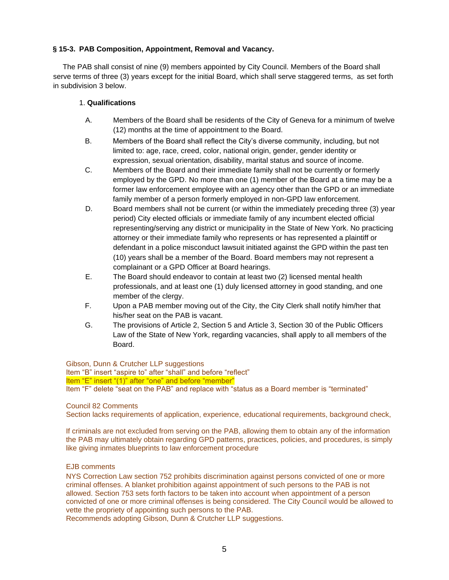#### <span id="page-4-0"></span>**§ 15-3. PAB Composition, Appointment, Removal and Vacancy.**

The PAB shall consist of nine (9) members appointed by City Council. Members of the Board shall serve terms of three (3) years except for the initial Board, which shall serve staggered terms, as set forth in subdivision 3 below.

#### 1. **Qualifications**

- A. Members of the Board shall be residents of the City of Geneva for a minimum of twelve (12) months at the time of appointment to the Board.
- B. Members of the Board shall reflect the City's diverse community, including, but not limited to: age, race, creed, color, national origin, gender, gender identity or expression, sexual orientation, disability, marital status and source of income.
- C. Members of the Board and their immediate family shall not be currently or formerly employed by the GPD. No more than one (1) member of the Board at a time may be a former law enforcement employee with an agency other than the GPD or an immediate family member of a person formerly employed in non-GPD law enforcement.
- D. Board members shall not be current (or within the immediately preceding three (3) year period) City elected officials or immediate family of any incumbent elected official representing/serving any district or municipality in the State of New York. No practicing attorney or their immediate family who represents or has represented a plaintiff or defendant in a police misconduct lawsuit initiated against the GPD within the past ten (10) years shall be a member of the Board. Board members may not represent a complainant or a GPD Officer at Board hearings.
- E. The Board should endeavor to contain at least two (2) licensed mental health professionals, and at least one (1) duly licensed attorney in good standing, and one member of the clergy.
- F. Upon a PAB member moving out of the City, the City Clerk shall notify him/her that his/her seat on the PAB is vacant.
- G. The provisions of Article 2, Section 5 and Article 3, Section 30 of the Public Officers Law of the State of New York, regarding vacancies, shall apply to all members of the Board.

Gibson, Dunn & Crutcher LLP suggestions

Item "B" insert "aspire to" after "shall" and before "reflect" Item "E" insert "(1)" after "one" and before "member" Item "F" delete "seat on the PAB" and replace with "status as a Board member is "terminated"

#### Council 82 Comments

Section lacks requirements of application, experience, educational requirements, background check,

If criminals are not excluded from serving on the PAB, allowing them to obtain any of the information the PAB may ultimately obtain regarding GPD patterns, practices, policies, and procedures, is simply like giving inmates blueprints to law enforcement procedure

#### EJB comments

NYS Correction Law section 752 prohibits discrimination against persons convicted of one or more criminal offenses. A blanket prohibition against appointment of such persons to the PAB is not allowed. Section 753 sets forth factors to be taken into account when appointment of a person convicted of one or more criminal offenses is being considered. The City Council would be allowed to vette the propriety of appointing such persons to the PAB.

Recommends adopting Gibson, Dunn & Crutcher LLP suggestions.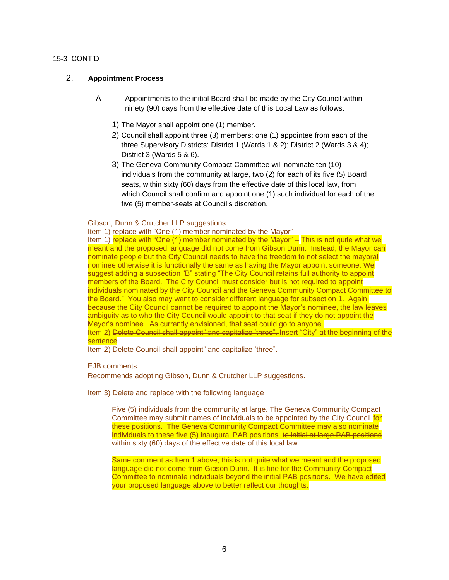#### 15-3 CONT'D

#### 2. **Appointment Process**

- A Appointments to the initial Board shall be made by the City Council within ninety (90) days from the effective date of this Local Law as follows:
	- 1) The Mayor shall appoint one (1) member.
	- 2) Council shall appoint three (3) members; one (1) appointee from each of the three Supervisory Districts: District 1 (Wards 1 & 2); District 2 (Wards 3 & 4); District 3 (Wards 5 & 6).
	- 3) The Geneva Community Compact Committee will nominate ten (10) individuals from the community at large, two (2) for each of its five (5) Board seats, within sixty (60) days from the effective date of this local law, from which Council shall confirm and appoint one (1) such individual for each of the five (5) member-seats at Council's discretion.

#### Gibson, Dunn & Crutcher LLP suggestions

Item 1) replace with "One (1) member nominated by the Mayor"

Item 1) replace with "One (1) member nominated by the Mayor"- This is not quite what we meant and the proposed language did not come from Gibson Dunn. Instead, the Mayor can nominate people but the City Council needs to have the freedom to not select the mayoral nominee otherwise it is functionally the same as having the Mayor appoint someone. We suggest adding a subsection "B" stating "The City Council retains full authority to appoint members of the Board. The City Council must consider but is not required to appoint individuals nominated by the City Council and the Geneva Community Compact Committee to the Board." You also may want to consider different language for subsection 1. Again, because the City Council cannot be required to appoint the Mayor's nominee, the law leaves ambiguity as to who the City Council would appoint to that seat if they do not appoint the Mayor's nominee. As currently envisioned, that seat could go to anyone. Item 2) Delete Council shall appoint" and capitalize 'three". Insert "City" at the beginning of the

#### sentence

Item 2) Delete Council shall appoint" and capitalize 'three".

#### EJB comments

Recommends adopting Gibson, Dunn & Crutcher LLP suggestions.

Item 3) Delete and replace with the following language

Five (5) individuals from the community at large. The Geneva Community Compact Committee may submit names of individuals to be appointed by the City Council for these positions. The Geneva Community Compact Committee may also nominate individuals to these five (5) inaugural PAB positions to initial at large PAB positions within sixty (60) days of the effective date of this local law.

Same comment as Item 1 above; this is not quite what we meant and the proposed language did not come from Gibson Dunn. It is fine for the Community Compact Committee to nominate individuals beyond the initial PAB positions. We have edited your proposed language above to better reflect our thoughts.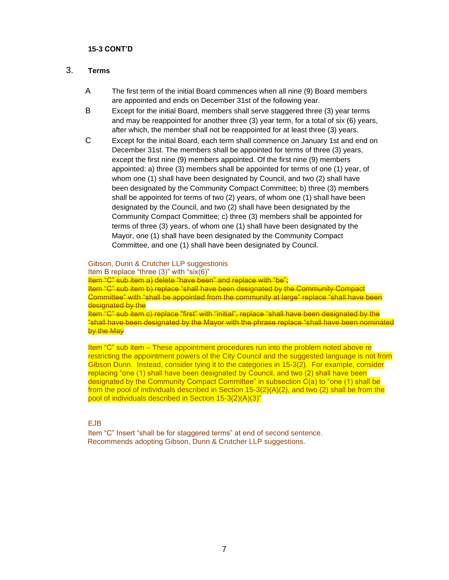#### **15-3 CONT'D**

#### 3. **Terms**

- A The first term of the initial Board commences when all nine (9) Board members are appointed and ends on December 31st of the following year.
- B Except for the initial Board, members shall serve staggered three (3) year terms and may be reappointed for another three (3) year term, for a total of six (6) years, after which, the member shall not be reappointed for at least three (3) years.
- C Except for the initial Board, each term shall commence on January 1st and end on December 31st. The members shall be appointed for terms of three (3) years, except the first nine (9) members appointed. Of the first nine (9) members appointed: a) three (3) members shall be appointed for terms of one (1) year, of whom one (1) shall have been designated by Council, and two (2) shall have been designated by the Community Compact Committee; b) three (3) members shall be appointed for terms of two (2) years, of whom one (1) shall have been designated by the Council, and two (2) shall have been designated by the Community Compact Committee; c) three (3) members shall be appointed for terms of three (3) years, of whom one (1) shall have been designated by the Mayor, one (1) shall have been designated by the Community Compact Committee, and one (1) shall have been designated by Council.

Gibson, Dunn & Crutcher LLP suggestionis Item B replace "three (3)" with "six(6)" Item "C" sub item a) delete "have been" and replace with "be"; Item "C" sub item b) replace "shall have been designated by the Community Compact Committee" with "shall be appointed from the community at large" replace "shall have been designated by the Item "C" sub item c) replace "first" with "initial", replace "shall have been designated by the "shall have been designated by the Mayor with the phrase replace "shall have been nominated by the May

Item "C" sub item – These appointment procedures run into the problem noted above re restricting the appointment powers of the City Council and the suggested language is not from Gibson Dunn. Instead, consider tying it to the categories in 15-3(2). For example, consider replacing "one (1) shall have been designated by Council, and two (2) shall have been designated by the Community Compact Committee" in subsection C(a) to "one (1) shall be from the pool of individuals described in Section  $15-3(2)(A)(2)$ , and two (2) shall be from the pool of individuals described in Section 15-3(2)(A)(3)"

#### EJB

Item "C" Insert "shall be for staggered terms" at end of second sentence. Recommends adopting Gibson, Dunn & Crutcher LLP suggestions.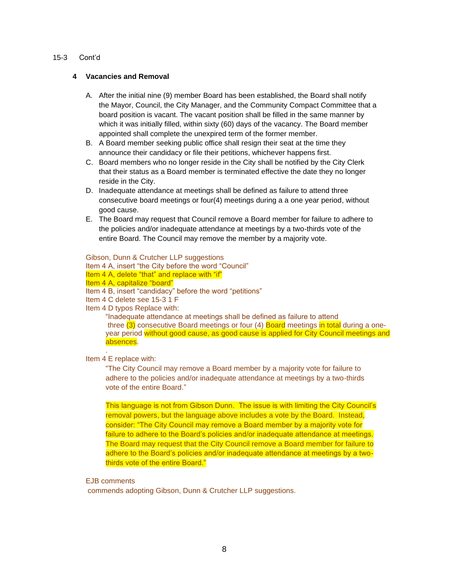#### 15-3 Cont'd

#### **4 Vacancies and Removal**

- A. After the initial nine (9) member Board has been established, the Board shall notify the Mayor, Council, the City Manager, and the Community Compact Committee that a board position is vacant. The vacant position shall be filled in the same manner by which it was initially filled, within sixty (60) days of the vacancy. The Board member appointed shall complete the unexpired term of the former member.
- B. A Board member seeking public office shall resign their seat at the time they announce their candidacy or file their petitions, whichever happens first.
- C. Board members who no longer reside in the City shall be notified by the City Clerk that their status as a Board member is terminated effective the date they no longer reside in the City.
- D. Inadequate attendance at meetings shall be defined as failure to attend three consecutive board meetings or four(4) meetings during a a one year period, without good cause.
- E. The Board may request that Council remove a Board member for failure to adhere to the policies and/or inadequate attendance at meetings by a two-thirds vote of the entire Board. The Council may remove the member by a majority vote.

#### Gibson, Dunn & Crutcher LLP suggestions

- Item 4 A, insert "the City before the word "Council"
- Item 4 A, delete "that" and replace with "if"
- Item 4 A, capitalize "board"
- Item 4 B, insert "candidacy" before the word "petitions"
- Item 4 C delete see 15-3 1 F
- Item 4 D typos Replace with:

"Inadequate attendance at meetings shall be defined as failure to attend three (3) consecutive Board meetings or four (4) Board meetings in total during a oneyear period without good cause, as good cause is applied for City Council meetings and absences.

Item 4 E replace with:

.

"The City Council may remove a Board member by a majority vote for failure to adhere to the policies and/or inadequate attendance at meetings by a two-thirds vote of the entire Board."

This language is not from Gibson Dunn. The issue is with limiting the City Council's removal powers, but the language above includes a vote by the Board. Instead, consider: "The City Council may remove a Board member by a majority vote for failure to adhere to the Board's policies and/or inadequate attendance at meetings. The Board may request that the City Council remove a Board member for failure to adhere to the Board's policies and/or inadequate attendance at meetings by a twothirds vote of the entire Board."

#### EJB comments

commends adopting Gibson, Dunn & Crutcher LLP suggestions.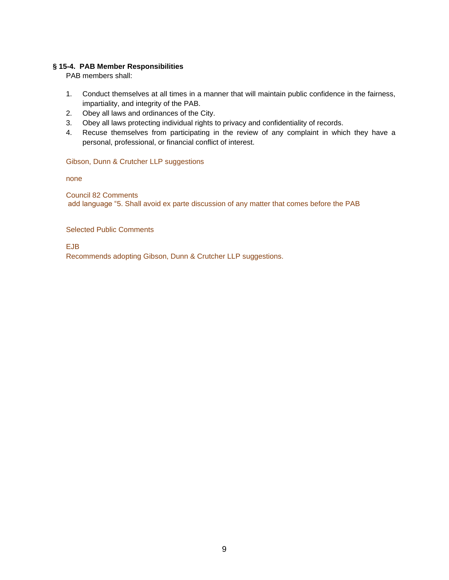#### <span id="page-8-0"></span>**§ 15-4. PAB Member Responsibilities**

PAB members shall:

- 1. Conduct themselves at all times in a manner that will maintain public confidence in the fairness, impartiality, and integrity of the PAB.
- 2. Obey all laws and ordinances of the City.
- 3. Obey all laws protecting individual rights to privacy and confidentiality of records.
- 4. Recuse themselves from participating in the review of any complaint in which they have a personal, professional, or financial conflict of interest.

#### Gibson, Dunn & Crutcher LLP suggestions

none

Council 82 Comments add language "5. Shall avoid ex parte discussion of any matter that comes before the PAB

Selected Public Comments

EJB

Recommends adopting Gibson, Dunn & Crutcher LLP suggestions.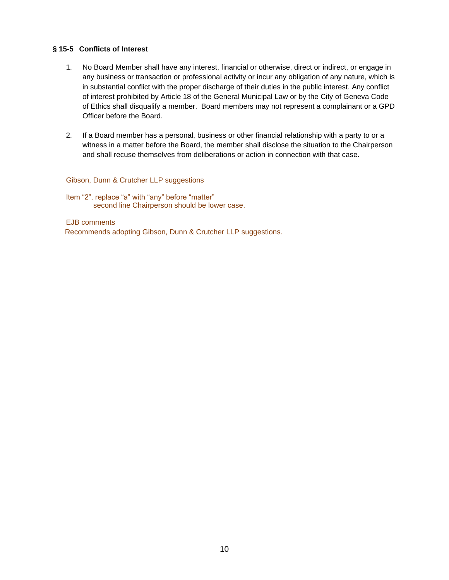#### **§ 15-5 Conflicts of Interest**

- 1. No Board Member shall have any interest, financial or otherwise, direct or indirect, or engage in any business or transaction or professional activity or incur any obligation of any nature, which is in substantial conflict with the proper discharge of their duties in the public interest. Any conflict of interest prohibited by Article 18 of the General Municipal Law or by the City of Geneva Code of Ethics shall disqualify a member. Board members may not represent a complainant or a GPD Officer before the Board.
- 2. If a Board member has a personal, business or other financial relationship with a party to or a witness in a matter before the Board, the member shall disclose the situation to the Chairperson and shall recuse themselves from deliberations or action in connection with that case.

#### Gibson, Dunn & Crutcher LLP suggestions

Item "2", replace "a" with "any" before "matter" second line Chairperson should be lower case.

EJB comments Recommends adopting Gibson, Dunn & Crutcher LLP suggestions.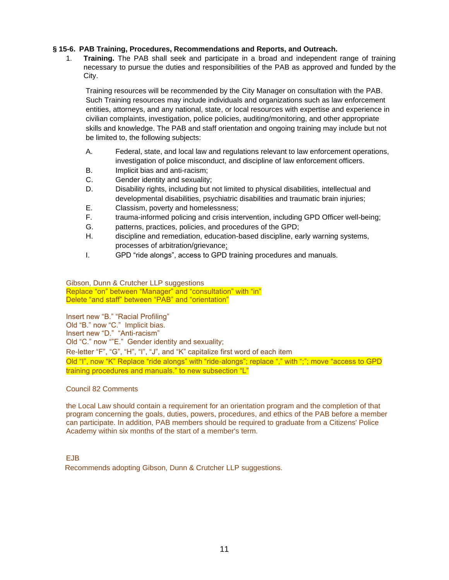#### <span id="page-10-0"></span>**§ 15-6. PAB Training, Procedures, Recommendations and Reports, and Outreach.**

1. **Training.** The PAB shall seek and participate in a broad and independent range of training necessary to pursue the duties and responsibilities of the PAB as approved and funded by the City.

Training resources will be recommended by the City Manager on consultation with the PAB. Such Training resources may include individuals and organizations such as law enforcement entities, attorneys, and any national, state, or local resources with expertise and experience in civilian complaints, investigation, police policies, auditing/monitoring, and other appropriate skills and knowledge. The PAB and staff orientation and ongoing training may include but not be limited to, the following subjects:

- A. Federal, state, and local law and regulations relevant to law enforcement operations, investigation of police misconduct, and discipline of law enforcement officers.
- B. Implicit bias and anti-racism;
- C. Gender identity and sexuality;
- D. Disability rights, including but not limited to physical disabilities, intellectual and developmental disabilities, psychiatric disabilities and traumatic brain injuries;
- E. Classism, poverty and homelessness;
- F. trauma-informed policing and crisis intervention, including GPD Officer well-being;
- G. patterns, practices, policies, and procedures of the GPD;
- H. discipline and remediation, education-based discipline, early warning systems, processes of arbitration/grievance;
- I. GPD "ride alongs", access to GPD training procedures and manuals.

Gibson, Dunn & Crutcher LLP suggestions Replace "on" between "Manager" and "consultation" with "in" Delete "and staff" between "PAB" and "orientation"

Insert new "B." "Racial Profiling" Old "B." now "C." Implicit bias. Insert new "D." "Anti-racism" Old "C." now ""E." Gender identity and sexuality; Re-letter "F", "G", "H", "I", "J", and "K" capitalize first word of each item Old "I", now "K" Replace "ride alongs" with "ride-alongs"; replace "," with ";"; move "access to GPD training procedures and manuals." to new subsection "L"

#### Council 82 Comments

the Local Law should contain a requirement for an orientation program and the completion of that program concerning the goals, duties, powers, procedures, and ethics of the PAB before a member can participate. In addition, PAB members should be required to graduate from a Citizens' Police Academy within six months of the start of a member's term.

EJB

Recommends adopting Gibson, Dunn & Crutcher LLP suggestions.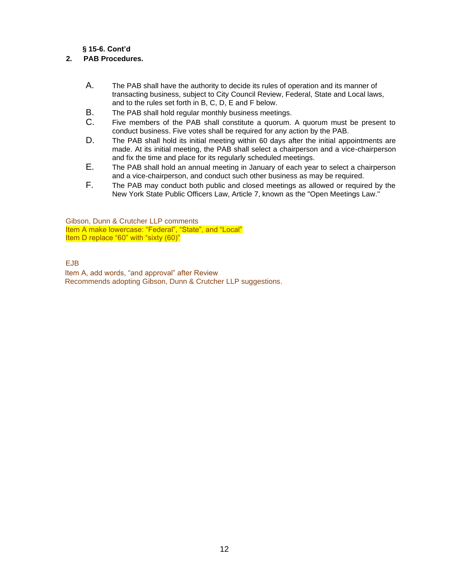#### **§ 15-6. Cont'd**

#### **2. PAB Procedures.**

- A. The PAB shall have the authority to decide its rules of operation and its manner of transacting business, subject to City Council Review, Federal, State and Local laws, and to the rules set forth in B, C, D, E and F below.
- B. The PAB shall hold regular monthly business meetings.
- C. Five members of the PAB shall constitute a quorum. A quorum must be present to conduct business. Five votes shall be required for any action by the PAB.
- D. The PAB shall hold its initial meeting within 60 days after the initial appointments are made. At its initial meeting, the PAB shall select a chairperson and a vice-chairperson and fix the time and place for its regularly scheduled meetings.
- E. The PAB shall hold an annual meeting in January of each year to select a chairperson and a vice-chairperson, and conduct such other business as may be required.
- F. The PAB may conduct both public and closed meetings as allowed or required by the New York State Public Officers Law, Article 7, known as the "Open Meetings Law."

Gibson, Dunn & Crutcher LLP comments Item A make lowercase: "Federal", "State", and "Local" Item D replace "60" with "sixty (60)"

#### EJB

 Item A, add words, "and approval" after Review Recommends adopting Gibson, Dunn & Crutcher LLP suggestions.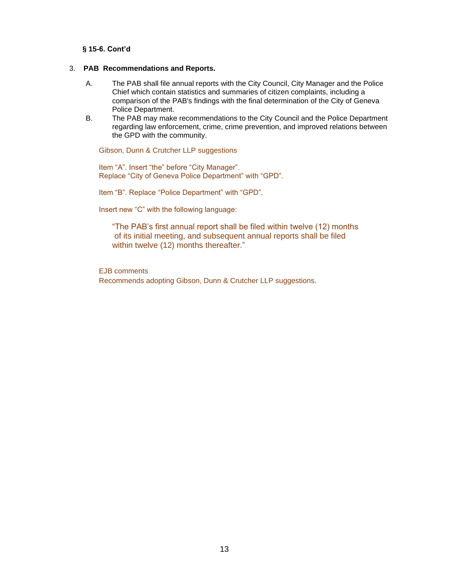#### **§ 15-6. Cont'd**

#### 3. **PAB Recommendations and Reports.**

- A. The PAB shall file annual reports with the City Council, City Manager and the Police Chief which contain statistics and summaries of citizen complaints, including a comparison of the PAB's findings with the final determination of the City of Geneva Police Department.
- B. The PAB may make recommendations to the City Council and the Police Department regarding law enforcement, crime, crime prevention, and improved relations between the GPD with the community.

Gibson, Dunn & Crutcher LLP suggestions

Item "A". Insert "the" before "City Manager". Replace "City of Geneva Police Department" with "GPD".

Item "B". Replace "Police Department" with "GPD".

Insert new "C" with the following language:

"The PAB's first annual report shall be filed within twelve (12) months of its initial meeting, and subsequent annual reports shall be filed within twelve (12) months thereafter."

EJB comments

Recommends adopting Gibson, Dunn & Crutcher LLP suggestions.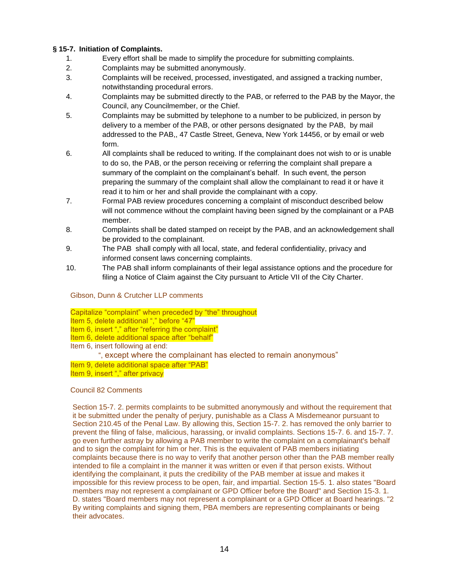#### <span id="page-13-0"></span>**§ 15-7. Initiation of Complaints.**

- 1. Every effort shall be made to simplify the procedure for submitting complaints.
- 2. Complaints may be submitted anonymously.
- 3. Complaints will be received, processed, investigated, and assigned a tracking number, notwithstanding procedural errors.
- 4. Complaints may be submitted directly to the PAB, or referred to the PAB by the Mayor, the Council, any Councilmember, or the Chief.
- 5. Complaints may be submitted by telephone to a number to be publicized, in person by delivery to a member of the PAB, or other persons designated by the PAB, by mail addressed to the PAB,, 47 Castle Street, Geneva, New York 14456, or by email or web form.
- 6. All complaints shall be reduced to writing. If the complainant does not wish to or is unable to do so, the PAB, or the person receiving or referring the complaint shall prepare a summary of the complaint on the complainant's behalf. In such event, the person preparing the summary of the complaint shall allow the complainant to read it or have it read it to him or her and shall provide the complainant with a copy.
- 7. Formal PAB review procedures concerning a complaint of misconduct described below will not commence without the complaint having been signed by the complainant or a PAB member.
- 8. Complaints shall be dated stamped on receipt by the PAB, and an acknowledgement shall be provided to the complainant.
- 9. The PAB shall comply with all local, state, and federal confidentiality, privacy and informed consent laws concerning complaints.
- 10. The PAB shall inform complainants of their legal assistance options and the procedure for filing a Notice of Claim against the City pursuant to Article VII of the City Charter.

Gibson, Dunn & Crutcher LLP comments

Capitalize "complaint" when preceded by "the" throughout

Item 5, delete additional "," before "47"

Item 6, insert "," after "referring the complaint"

Item 6, delete additional space after "behalf"

Item 6, insert following at end:

", except where the complainant has elected to remain anonymous"

Item 9, delete additional space after "PAB"

Item 9, insert "," after privacy

Council 82 Comments

Section 15-7. 2. permits complaints to be submitted anonymously and without the requirement that it be submitted under the penalty of perjury, punishable as a Class A Misdemeanor pursuant to Section 210.45 of the Penal Law. By allowing this, Section 15-7. 2. has removed the only barrier to prevent the filing of false, malicious, harassing, or invalid complaints. Sections 15-7. 6. and 15-7. 7. go even further astray by allowing a PAB member to write the complaint on a complainant's behalf and to sign the complaint for him or her. This is the equivalent of PAB members initiating complaints because there is no way to verify that another person other than the PAB member really intended to file a complaint in the manner it was written or even if that person exists. Without identifying the complainant, it puts the credibility of the PAB member at issue and makes it impossible for this review process to be open, fair, and impartial. Section 15-5. 1. also states "Board members may not represent a complainant or GPD Officer before the Board" and Section 15-3. 1. D. states "Board members may not represent a complainant or a GPD Officer at Board hearings. "2 By writing complaints and signing them, PBA members are representing complainants or being their advocates.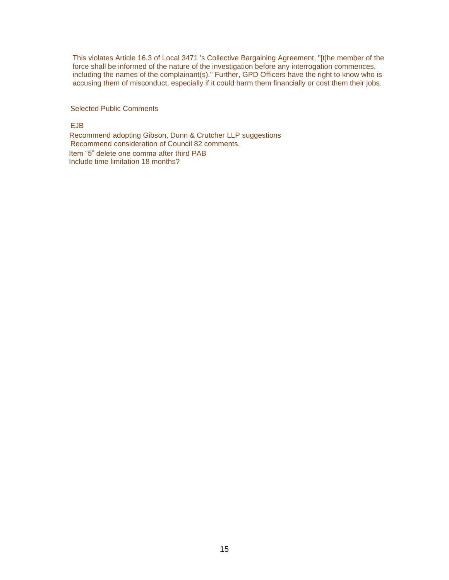This violates Article 16.3 of Local 3471 's Collective Bargaining Agreement, "[t]he member of the force shall be informed of the nature of the investigation before any interrogation commences, including the names of the complainant(s)." Further, GPD Officers have the right to know who is accusing them of misconduct, especially if it could harm them financially or cost them their jobs.

Selected Public Comments

EJB

Recommend adopting Gibson, Dunn & Crutcher LLP suggestions Recommend consideration of Council 82 comments. Item "5" delete one comma after third PAB Include time limitation 18 months?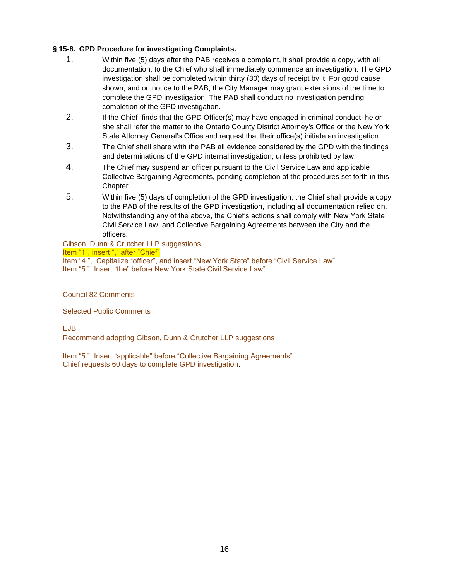#### <span id="page-15-0"></span>**§ 15-8. GPD Procedure for investigating Complaints.**

- 1. Within five (5) days after the PAB receives a complaint, it shall provide a copy, with all documentation, to the Chief who shall immediately commence an investigation. The GPD investigation shall be completed within thirty (30) days of receipt by it. For good cause shown, and on notice to the PAB, the City Manager may grant extensions of the time to complete the GPD investigation. The PAB shall conduct no investigation pending completion of the GPD investigation.
- 2. If the Chief finds that the GPD Officer(s) may have engaged in criminal conduct, he or she shall refer the matter to the Ontario County District Attorney's Office or the New York State Attorney General's Office and request that their office(s) initiate an investigation.
- 3. The Chief shall share with the PAB all evidence considered by the GPD with the findings and determinations of the GPD internal investigation, unless prohibited by law.
- 4. The Chief may suspend an officer pursuant to the Civil Service Law and applicable Collective Bargaining Agreements, pending completion of the procedures set forth in this Chapter.
- 5. Within five (5) days of completion of the GPD investigation, the Chief shall provide a copy to the PAB of the results of the GPD investigation, including all documentation relied on. Notwithstanding any of the above, the Chief's actions shall comply with New York State Civil Service Law, and Collective Bargaining Agreements between the City and the officers.

#### Gibson, Dunn & Crutcher LLP suggestions Item "1", insert "," after "Chief"

 Item "4.", Capitalize "officer", and insert "New York State" before "Civil Service Law". Item "5.", Insert "the" before New York State Civil Service Law".

Council 82 Comments

Selected Public Comments

EJB

Recommend adopting Gibson, Dunn & Crutcher LLP suggestions

Item "5.", Insert "applicable" before "Collective Bargaining Agreements". Chief requests 60 days to complete GPD investigation.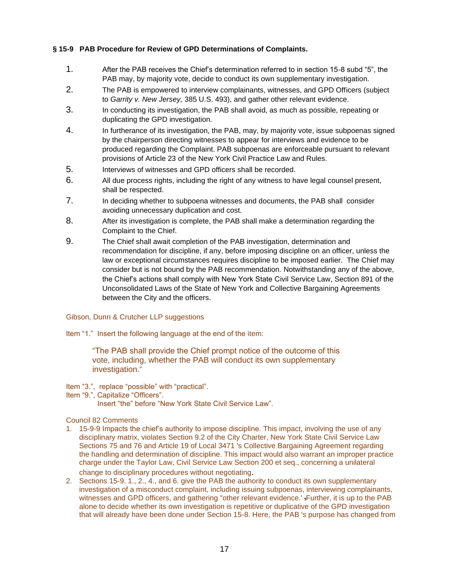#### <span id="page-16-0"></span>**§ 15-9 PAB Procedure for Review of GPD Determinations of Complaints.**

- 1. After the PAB receives the Chief's determination referred to in section 15-8 subd "5", the PAB may, by majority vote, decide to conduct its own supplementary investigation.
- 2. The PAB is empowered to interview complainants, witnesses, and GPD Officers (subject to *Garrity v. New Jersey,* 385 U.S. 493), and gather other relevant evidence.
- 3. In conducting its investigation, the PAB shall avoid, as much as possible, repeating or duplicating the GPD investigation.
- 4. In furtherance of its investigation, the PAB, may, by majority vote, issue subpoenas signed by the chairperson directing witnesses to appear for interviews and evidence to be produced regarding the Complaint. PAB subpoenas are enforceable pursuant to relevant provisions of Article 23 of the New York Civil Practice Law and Rules.
- 5. Interviews of witnesses and GPD officers shall be recorded.
- 6. All due process rights, including the right of any witness to have legal counsel present, shall be respected.
- 7. In deciding whether to subpoena witnesses and documents, the PAB shall consider avoiding unnecessary duplication and cost.
- 8. After its investigation is complete, the PAB shall make a determination regarding the Complaint to the Chief.
- 9. The Chief shall await completion of the PAB investigation, determination and recommendation for discipline, if any, before imposing discipline on an officer, unless the law or exceptional circumstances requires discipline to be imposed earlier. The Chief may consider but is not bound by the PAB recommendation. Notwithstanding any of the above, the Chief's actions shall comply with New York State Civil Service Law, Section 891 of the Unconsolidated Laws of the State of New York and Collective Bargaining Agreements between the City and the officers.

#### Gibson, Dunn & Crutcher LLP suggestions

Item "1." Insert the following language at the end of the item:

"The PAB shall provide the Chief prompt notice of the outcome of this vote, including, whether the PAB will conduct its own supplementary investigation."

- Item "3.", replace "possible" with "practical".
- Item "9.", Capitalize "Officers".

Insert "the" before "New York State Civil Service Law".

#### Council 82 Comments

- 1. 15-9-9 Impacts the chief's authority to impose discipline. This impact, involving the use of any disciplinary matrix, violates Section 9.2 of the City Charter, New York State Civil Service Law Sections 75 and 76 and Article 19 of Local 3471 's Collective Bargaining Agreement regarding the handling and determination of discipline. This impact would also warrant an improper practice charge under the Taylor Law, Civil Service Law Section 200 et seq., concerning a unilateral change to disciplinary procedures without negotiating.
- 2. Sections 15-9. 1., 2., 4., and 6. give the PAB the authority to conduct its own supplementary investigation of a misconduct complaint, including issuing subpoenas, interviewing complainants, witnesses and GPD officers, and gathering "other relevant evidence.' Further, it is up to the PAB alone to decide whether its own investigation is repetitive or duplicative of the GPD investigation that will already have been done under Section 15-8. Here, the PAB 's purpose has changed from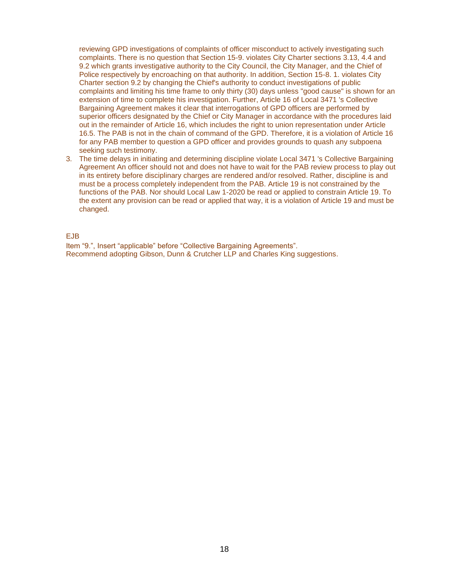reviewing GPD investigations of complaints of officer misconduct to actively investigating such complaints. There is no question that Section 15-9. violates City Charter sections 3.13, 4.4 and 9.2 which grants investigative authority to the City Council, the City Manager, and the Chief of Police respectively by encroaching on that authority. In addition, Section 15-8. 1. violates City Charter section 9.2 by changing the Chief's authority to conduct investigations of public complaints and limiting his time frame to only thirty (30) days unless "good cause" is shown for an extension of time to complete his investigation. Further, Article 16 of Local 3471 's Collective Bargaining Agreement makes it clear that interrogations of GPD officers are performed by superior officers designated by the Chief or City Manager in accordance with the procedures laid out in the remainder of Article 16, which includes the right to union representation under Article 16.5. The PAB is not in the chain of command of the GPD. Therefore, it is a violation of Article 16 for any PAB member to question a GPD officer and provides grounds to quash any subpoena seeking such testimony.

3. The time delays in initiating and determining discipline violate Local 3471 's Collective Bargaining Agreement An officer should not and does not have to wait for the PAB review process to play out in its entirety before disciplinary charges are rendered and/or resolved. Rather, discipline is and must be a process completely independent from the PAB. Article 19 is not constrained by the functions of the PAB. Nor should Local Law 1-2020 be read or applied to constrain Article 19. To the extent any provision can be read or applied that way, it is a violation of Article 19 and must be changed.

EJB

Item "9.", Insert "applicable" before "Collective Bargaining Agreements". Recommend adopting Gibson, Dunn & Crutcher LLP and Charles King suggestions.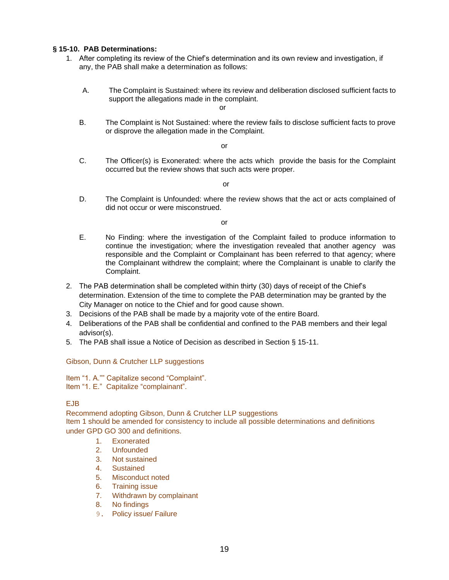#### <span id="page-18-0"></span>**§ 15-10. PAB Determinations:**

- 1. After completing its review of the Chief's determination and its own review and investigation, if any, the PAB shall make a determination as follows:
	- A. The Complaint is Sustained: where its review and deliberation disclosed sufficient facts to support the allegations made in the complaint.

or

B. The Complaint is Not Sustained: where the review fails to disclose sufficient facts to prove or disprove the allegation made in the Complaint.

or

C. The Officer(s) is Exonerated: where the acts which provide the basis for the Complaint occurred but the review shows that such acts were proper.

or

D. The Complaint is Unfounded: where the review shows that the act or acts complained of did not occur or were misconstrued.

or

- E. No Finding: where the investigation of the Complaint failed to produce information to continue the investigation; where the investigation revealed that another agency was responsible and the Complaint or Complainant has been referred to that agency; where the Complainant withdrew the complaint; where the Complainant is unable to clarify the Complaint.
- 2. The PAB determination shall be completed within thirty (30) days of receipt of the Chief's determination. Extension of the time to complete the PAB determination may be granted by the City Manager on notice to the Chief and for good cause shown.
- 3. Decisions of the PAB shall be made by a majority vote of the entire Board.
- 4. Deliberations of the PAB shall be confidential and confined to the PAB members and their legal advisor(s).
- 5. The PAB shall issue a Notice of Decision as described in Section § 15-11.

#### Gibson, Dunn & Crutcher LLP suggestions

Item "1. A."" Capitalize second "Complaint". Item "1. E." Capitalize "complainant".

#### EJB

Recommend adopting Gibson, Dunn & Crutcher LLP suggestions Item 1 should be amended for consistency to include all possible determinations and definitions under GPD GO 300 and definitions.

- 1. Exonerated
- 2. Unfounded
- 3. Not sustained
- 4. Sustained
- 5. Misconduct noted
- 6. Training issue
- 7. Withdrawn by complainant
- 8. No findings
- 9. Policy issue/ Failure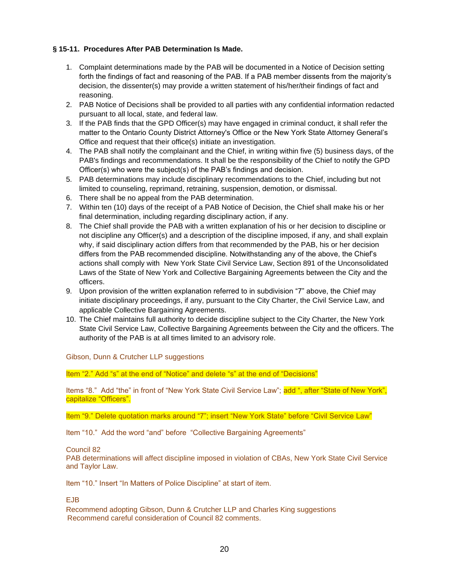#### **§ 15-11. Procedures After PAB Determination Is Made.**

- 1. Complaint determinations made by the PAB will be documented in a Notice of Decision setting forth the findings of fact and reasoning of the PAB. If a PAB member dissents from the majority's decision, the dissenter(s) may provide a written statement of his/her/their findings of fact and reasoning.
- 2. PAB Notice of Decisions shall be provided to all parties with any confidential information redacted pursuant to all local, state, and federal law.
- 3. If the PAB finds that the GPD Officer(s) may have engaged in criminal conduct, it shall refer the matter to the Ontario County District Attorney's Office or the New York State Attorney General's Office and request that their office(s) initiate an investigation.
- 4. The PAB shall notify the complainant and the Chief, in writing within five (5) business days, of the PAB's findings and recommendations. It shall be the responsibility of the Chief to notify the GPD Officer(s) who were the subject(s) of the PAB's findings and decision.
- 5. PAB determinations may include disciplinary recommendations to the Chief, including but not limited to counseling, reprimand, retraining, suspension, demotion, or dismissal.
- 6. There shall be no appeal from the PAB determination.
- 7. Within ten (10) days of the receipt of a PAB Notice of Decision, the Chief shall make his or her final determination, including regarding disciplinary action, if any.
- 8. The Chief shall provide the PAB with a written explanation of his or her decision to discipline or not discipline any Officer(s) and a description of the discipline imposed, if any, and shall explain why, if said disciplinary action differs from that recommended by the PAB, his or her decision differs from the PAB recommended discipline. Notwithstanding any of the above, the Chief's actions shall comply with New York State Civil Service Law, Section 891 of the Unconsolidated Laws of the State of New York and Collective Bargaining Agreements between the City and the officers.
- 9. Upon provision of the written explanation referred to in subdivision "7" above, the Chief may initiate disciplinary proceedings, if any, pursuant to the City Charter, the Civil Service Law, and applicable Collective Bargaining Agreements.
- 10. The Chief maintains full authority to decide discipline subject to the City Charter, the New York State Civil Service Law, Collective Bargaining Agreements between the City and the officers. The authority of the PAB is at all times limited to an advisory role.

Gibson, Dunn & Crutcher LLP suggestions

Item "2." Add "s" at the end of "Notice" and delete "s" at the end of "Decisions"

Items "8." Add "the" in front of "New York State Civil Service Law"; add ", after "State of New York", capitalize "Officers".

Item "9." Delete quotation marks around "7"; insert "New York State" before "Civil Service Law"

Item "10." Add the word "and" before "Collective Bargaining Agreements"

#### Council 82

PAB determinations will affect discipline imposed in violation of CBAs, New York State Civil Service and Taylor Law.

Item "10." Insert "In Matters of Police Discipline" at start of item.

#### EJB

Recommend adopting Gibson, Dunn & Crutcher LLP and Charles King suggestions Recommend careful consideration of Council 82 comments.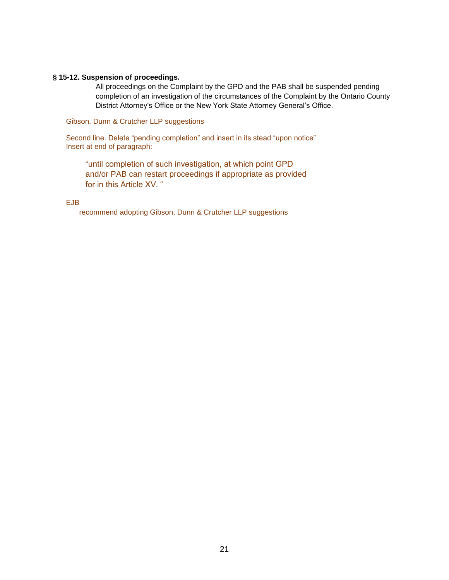#### <span id="page-20-0"></span>**§ 15-12. Suspension of proceedings.**

All proceedings on the Complaint by the GPD and the PAB shall be suspended pending completion of an investigation of the circumstances of the Complaint by the Ontario County District Attorney's Office or the New York State Attorney General's Office.

Gibson, Dunn & Crutcher LLP suggestions

Second line. Delete "pending completion" and insert in its stead "upon notice" Insert at end of paragraph:

"until completion of such investigation, at which point GPD and/or PAB can restart proceedings if appropriate as provided for in this Article XV. "

#### EJB

recommend adopting Gibson, Dunn & Crutcher LLP suggestions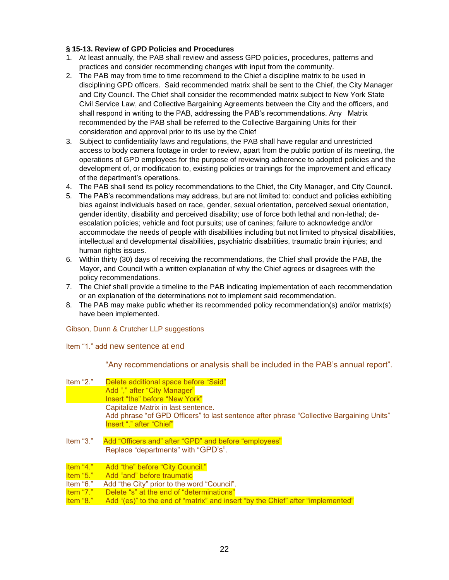#### **§ 15-13. Review of GPD Policies and Procedures**

- 1. At least annually, the PAB shall review and assess GPD policies, procedures, patterns and practices and consider recommending changes with input from the community.
- 2. The PAB may from time to time recommend to the Chief a discipline matrix to be used in disciplining GPD officers. Said recommended matrix shall be sent to the Chief, the City Manager and City Council. The Chief shall consider the recommended matrix subject to New York State Civil Service Law, and Collective Bargaining Agreements between the City and the officers, and shall respond in writing to the PAB, addressing the PAB's recommendations. Any Matrix recommended by the PAB shall be referred to the Collective Bargaining Units for their consideration and approval prior to its use by the Chief
- 3. Subject to confidentiality laws and regulations, the PAB shall have regular and unrestricted access to body camera footage in order to review, apart from the public portion of its meeting, the operations of GPD employees for the purpose of reviewing adherence to adopted policies and the development of, or modification to, existing policies or trainings for the improvement and efficacy of the department's operations.
- 4. The PAB shall send its policy recommendations to the Chief, the City Manager, and City Council.
- 5. The PAB's recommendations may address, but are not limited to: conduct and policies exhibiting bias against individuals based on race, gender, sexual orientation, perceived sexual orientation, gender identity, disability and perceived disability; use of force both lethal and non-lethal; deescalation policies; vehicle and foot pursuits; use of canines; failure to acknowledge and/or accommodate the needs of people with disabilities including but not limited to physical disabilities, intellectual and developmental disabilities, psychiatric disabilities, traumatic brain injuries; and human rights issues.
- 6. Within thirty (30) days of receiving the recommendations, the Chief shall provide the PAB, the Mayor, and Council with a written explanation of why the Chief agrees or disagrees with the policy recommendations.
- 7. The Chief shall provide a timeline to the PAB indicating implementation of each recommendation or an explanation of the determinations not to implement said recommendation.
- 8. The PAB may make public whether its recommended policy recommendation(s) and/or matrix(s) have been implemented.

Gibson, Dunn & Crutcher LLP suggestions

Item "1." add new sentence at end

"Any recommendations or analysis shall be included in the PAB's annual report".

| Item "2."   | Delete additional space before "Said"                                                    |
|-------------|------------------------------------------------------------------------------------------|
|             | Add "," after "City Manager"                                                             |
|             | Insert "the" before "New York"                                                           |
|             | Capitalize Matrix in last sentence.                                                      |
|             | Add phrase "of GPD Officers" to last sentence after phrase "Collective Bargaining Units" |
|             | Insert "." after "Chief"                                                                 |
|             |                                                                                          |
| ltem "3."   | Add "Officers and" after "GPD" and before "employees"                                    |
|             | Replace "departments" with "GPD's".                                                      |
|             |                                                                                          |
| Item "4."   | Add "the" before "City Council."                                                         |
| Item $"5."$ | Add "and" before traumatic                                                               |
| ltem "6."   | Add "the City" prior to the word "Council".                                              |
| ltem "7."   | Delete "s" at the end of "determinations"                                                |
| ltem "8."   | Add "(es)" to the end of "matrix" and insert "by the Chief" after "implemented"          |
|             |                                                                                          |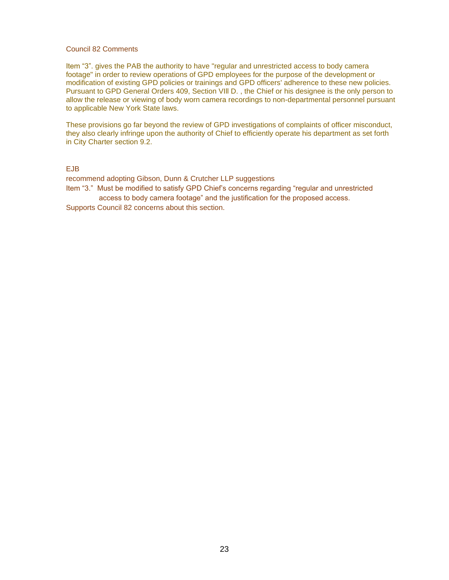#### Council 82 Comments

Item "3". gives the PAB the authority to have "regular and unrestricted access to body camera footage" in order to review operations of GPD employees for the purpose of the development or modification of existing GPD policies or trainings and GPD officers' adherence to these new policies. Pursuant to GPD General Orders 409, Section VIll D. , the Chief or his designee is the only person to allow the release or viewing of body worn camera recordings to non-departmental personnel pursuant to applicable New York State laws.

These provisions go far beyond the review of GPD investigations of complaints of officer misconduct, they also clearly infringe upon the authority of Chief to efficiently operate his department as set forth in City Charter section 9.2.

#### EJB

recommend adopting Gibson, Dunn & Crutcher LLP suggestions Item "3." Must be modified to satisfy GPD Chief's concerns regarding "regular and unrestricted access to body camera footage" and the justification for the proposed access.

Supports Council 82 concerns about this section.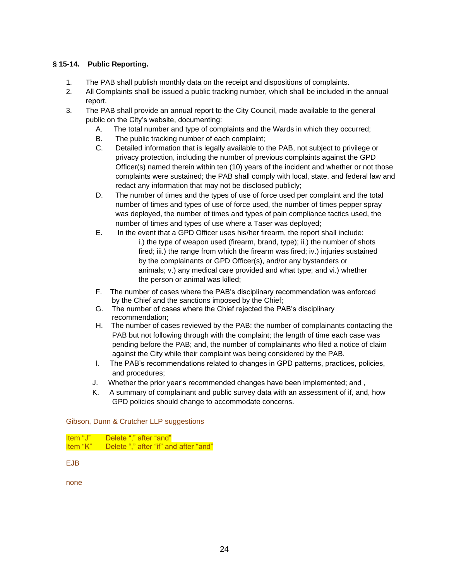#### **§ 15-14. Public Reporting.**

- 1. The PAB shall publish monthly data on the receipt and dispositions of complaints.
- 2. All Complaints shall be issued a public tracking number, which shall be included in the annual report.
- 3. The PAB shall provide an annual report to the City Council, made available to the general public on the City's website, documenting:
	- A. The total number and type of complaints and the Wards in which they occurred;
	- B. The public tracking number of each complaint;
	- C. Detailed information that is legally available to the PAB, not subject to privilege or privacy protection, including the number of previous complaints against the GPD Officer(s) named therein within ten (10) years of the incident and whether or not those complaints were sustained; the PAB shall comply with local, state, and federal law and redact any information that may not be disclosed publicly;
	- D. The number of times and the types of use of force used per complaint and the total number of times and types of use of force used, the number of times pepper spray was deployed, the number of times and types of pain compliance tactics used, the number of times and types of use where a Taser was deployed;
	- E. In the event that a GPD Officer uses his/her firearm, the report shall include: i.) the type of weapon used (firearm, brand, type); ii.) the number of shots fired; iii.) the range from which the firearm was fired; iv.) injuries sustained by the complainants or GPD Officer(s), and/or any bystanders or animals; v.) any medical care provided and what type; and vi.) whether the person or animal was killed;
	- F. The number of cases where the PAB's disciplinary recommendation was enforced by the Chief and the sanctions imposed by the Chief;
	- G. The number of cases where the Chief rejected the PAB's disciplinary recommendation;
	- H. The number of cases reviewed by the PAB; the number of complainants contacting the PAB but not following through with the complaint; the length of time each case was pending before the PAB; and, the number of complainants who filed a notice of claim against the City while their complaint was being considered by the PAB.
	- I. The PAB's recommendations related to changes in GPD patterns, practices, policies, and procedures;
	- J. Whether the prior year's recommended changes have been implemented; and ,
	- K. A summary of complainant and public survey data with an assessment of if, and, how GPD policies should change to accommodate concerns.

#### Gibson, Dunn & Crutcher LLP suggestions

Item "J" Delete "," after "and" Item "K" Delete "," after "if" and after "and"

EJB

none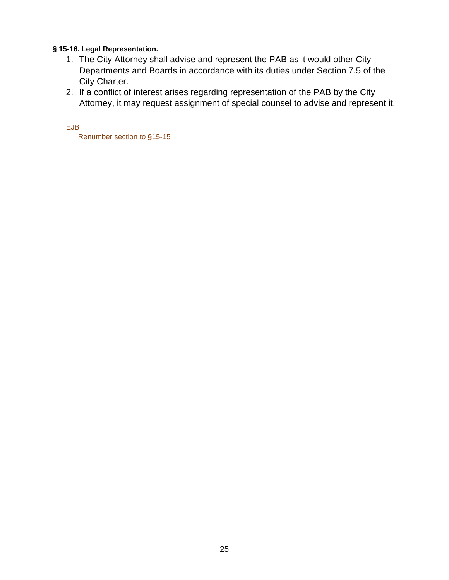#### <span id="page-24-0"></span>**§ 15-16. Legal Representation.**

- 1. The City Attorney shall advise and represent the PAB as it would other City Departments and Boards in accordance with its duties under Section 7.5 of the City Charter.
- 2. If a conflict of interest arises regarding representation of the PAB by the City Attorney, it may request assignment of special counsel to advise and represent it.

EJB

Renumber section to **§**15-15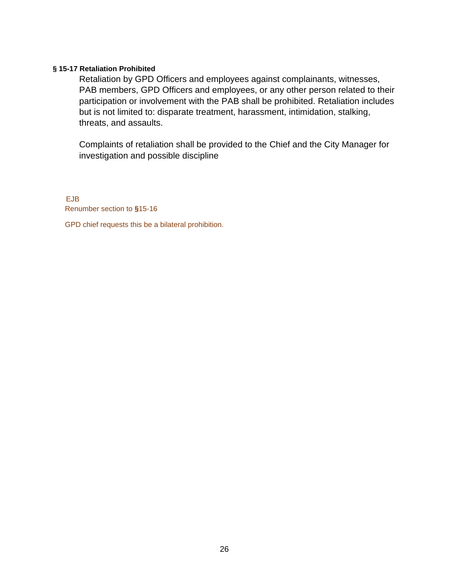#### <span id="page-25-0"></span>**§ 15-17 Retaliation Prohibited**

Retaliation by GPD Officers and employees against complainants, witnesses, PAB members, GPD Officers and employees, or any other person related to their participation or involvement with the PAB shall be prohibited. Retaliation includes but is not limited to: disparate treatment, harassment, intimidation, stalking, threats, and assaults.

Complaints of retaliation shall be provided to the Chief and the City Manager for investigation and possible discipline

EJB Renumber section to **§**15-16

GPD chief requests this be a bilateral prohibition.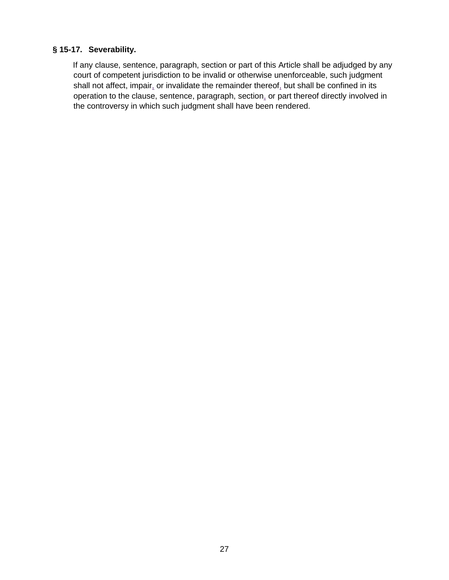### **§ 15-17. Severability.**

If any clause, sentence, paragraph, section or part of this Article shall be adjudged by any court of competent jurisdiction to be invalid or otherwise unenforceable, such judgment shall not affect, impair, or invalidate the remainder thereof, but shall be confined in its operation to the clause, sentence, paragraph, section, or part thereof directly involved in the controversy in which such judgment shall have been rendered.